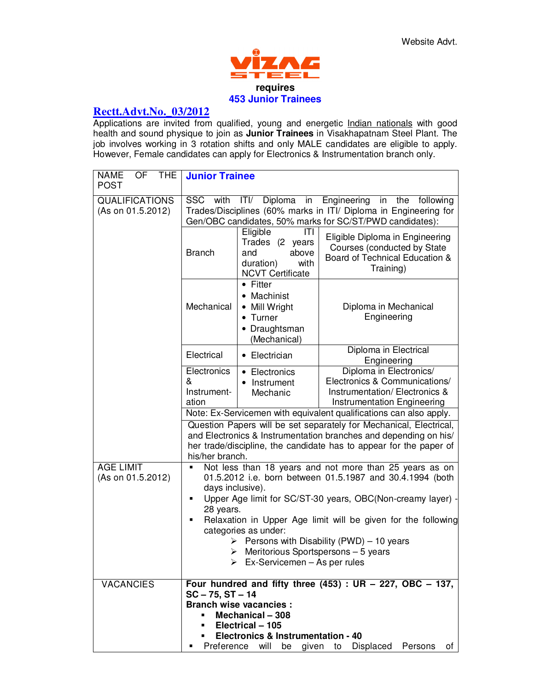

## **Rectt.Advt.No.\_03/2012**

Applications are invited from qualified, young and energetic Indian nationals with good health and sound physique to join as **Junior Trainees** in Visakhapatnam Steel Plant. The job involves working in 3 rotation shifts and only MALE candidates are eligible to apply. However, Female candidates can apply for Electronics & Instrumentation branch only.

| <b>THE</b><br><b>NAME</b><br>OF<br><b>POST</b>                                                     | <b>Junior Trainee</b>                                                                                                                                                                                                   |                                                                                                                                    |                                                                                                                                                                                                              |  |
|----------------------------------------------------------------------------------------------------|-------------------------------------------------------------------------------------------------------------------------------------------------------------------------------------------------------------------------|------------------------------------------------------------------------------------------------------------------------------------|--------------------------------------------------------------------------------------------------------------------------------------------------------------------------------------------------------------|--|
| <b>QUALIFICATIONS</b><br>(As on 01.5.2012)                                                         | Diploma<br>Engineering<br>SSC<br>ITI/<br>in<br>the following<br>with<br>in<br>Trades/Disciplines (60% marks in ITI/ Diploma in Engineering for<br>Gen/OBC candidates, 50% marks for SC/ST/PWD candidates):              |                                                                                                                                    |                                                                                                                                                                                                              |  |
|                                                                                                    | <b>Branch</b>                                                                                                                                                                                                           | Eligible<br>ITI<br>Trades (2 years<br>and<br>above<br>with<br>duration)<br><b>NCVT Certificate</b>                                 | Eligible Diploma in Engineering<br>Courses (conducted by State<br>Board of Technical Education &<br>Training)                                                                                                |  |
|                                                                                                    | Mechanical                                                                                                                                                                                                              | • Fitter<br>• Machinist<br>• Mill Wright<br>• Turner<br>• Draughtsman<br>(Mechanical)                                              | Diploma in Mechanical<br>Engineering                                                                                                                                                                         |  |
|                                                                                                    | Electrical                                                                                                                                                                                                              | • Electrician                                                                                                                      | Diploma in Electrical<br>Engineering                                                                                                                                                                         |  |
|                                                                                                    | Electronics<br>&<br>Instrument-<br>ation                                                                                                                                                                                | • Electronics<br>• Instrument<br>Mechanic                                                                                          | Diploma in Electronics/<br>Electronics & Communications/<br>Instrumentation/Electronics &<br>Instrumentation Engineering                                                                                     |  |
|                                                                                                    | Note: Ex-Servicemen with equivalent qualifications can also apply.                                                                                                                                                      |                                                                                                                                    |                                                                                                                                                                                                              |  |
|                                                                                                    | his/her branch.                                                                                                                                                                                                         |                                                                                                                                    | Question Papers will be set separately for Mechanical, Electrical,<br>and Electronics & Instrumentation branches and depending on his/<br>her trade/discipline, the candidate has to appear for the paper of |  |
| <b>AGE LIMIT</b><br>(As on 01.5.2012)                                                              | Not less than 18 years and not more than 25 years as on<br>01.5.2012 i.e. born between 01.5.1987 and 30.4.1994 (both<br>days inclusive).<br>Upper Age limit for SC/ST-30 years, OBC(Non-creamy layer)<br>$\blacksquare$ |                                                                                                                                    |                                                                                                                                                                                                              |  |
| 28 years.<br>Relaxation in Upper Age limit will be given for the following<br>categories as under: |                                                                                                                                                                                                                         |                                                                                                                                    |                                                                                                                                                                                                              |  |
|                                                                                                    |                                                                                                                                                                                                                         | $\triangleright$ Meritorious Sportspersons - 5 years<br>$\triangleright$ Ex-Servicemen – As per rules                              | Persons with Disability (PWD) - 10 years                                                                                                                                                                     |  |
| <b>VACANCIES</b>                                                                                   | $SC - 75$ , $ST - 14$<br>٠<br>Preference                                                                                                                                                                                | <b>Branch wise vacancies:</b><br>Mechanical - 308<br>Electrical - 105<br>Electronics & Instrumentation - 40<br>will<br>be<br>given | Four hundred and fifty three $(453)$ : UR - 227, OBC - 137,<br>Displaced<br>Persons<br>to<br>of                                                                                                              |  |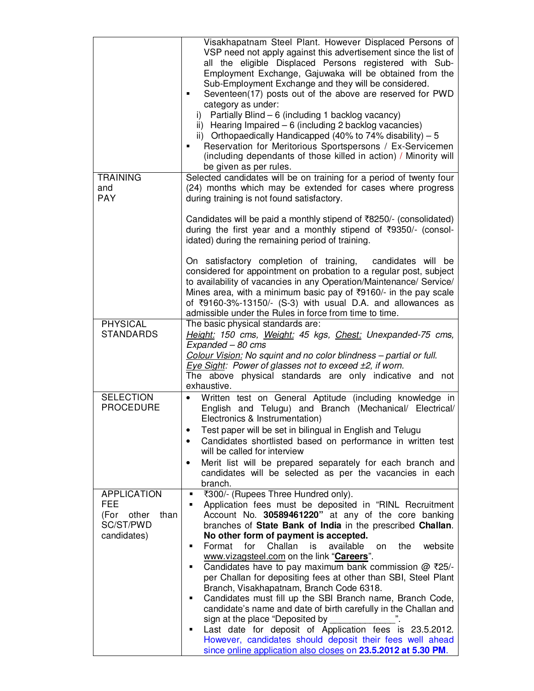|                                                                                    | Visakhapatnam Steel Plant. However Displaced Persons of<br>VSP need not apply against this advertisement since the list of<br>all the eligible Displaced Persons registered with Sub-<br>Employment Exchange, Gajuwaka will be obtained from the<br>Sub-Employment Exchange and they will be considered.<br>Seventeen(17) posts out of the above are reserved for PWD<br>п<br>category as under:<br>i) Partially Blind $-6$ (including 1 backlog vacancy)<br>ii) Hearing Impaired $-6$ (including 2 backlog vacancies)<br>ii) Orthopaedically Handicapped (40% to 74% disability) $-5$<br>Reservation for Meritorious Sportspersons / Ex-Servicemen<br>(including dependants of those killed in action) / Minority will<br>be given as per rules.                                                                                                                                                                                                   |
|------------------------------------------------------------------------------------|-----------------------------------------------------------------------------------------------------------------------------------------------------------------------------------------------------------------------------------------------------------------------------------------------------------------------------------------------------------------------------------------------------------------------------------------------------------------------------------------------------------------------------------------------------------------------------------------------------------------------------------------------------------------------------------------------------------------------------------------------------------------------------------------------------------------------------------------------------------------------------------------------------------------------------------------------------|
| <b>TRAINING</b><br>and<br><b>PAY</b>                                               | Selected candidates will be on training for a period of twenty four<br>(24) months which may be extended for cases where progress<br>during training is not found satisfactory.                                                                                                                                                                                                                                                                                                                                                                                                                                                                                                                                                                                                                                                                                                                                                                     |
|                                                                                    | Candidates will be paid a monthly stipend of ₹8250/- (consolidated)<br>during the first year and a monthly stipend of ₹9350/- (consol-<br>idated) during the remaining period of training.<br>On satisfactory completion of training,<br>candidates will be<br>considered for appointment on probation to a regular post, subject<br>to availability of vacancies in any Operation/Maintenance/ Service/<br>Mines area, with a minimum basic pay of ₹9160/- in the pay scale<br>of ₹9160-3%-13150/- (S-3) with usual D.A. and allowances as<br>admissible under the Rules in force from time to time.                                                                                                                                                                                                                                                                                                                                               |
| <b>PHYSICAL</b><br><b>STANDARDS</b>                                                | The basic physical standards are:<br>Height: 150 cms, Weight: 45 kgs, Chest: Unexpanded-75 cms,<br>Expanded - 80 cms                                                                                                                                                                                                                                                                                                                                                                                                                                                                                                                                                                                                                                                                                                                                                                                                                                |
|                                                                                    | Colour Vision: No squint and no color blindness - partial or full.<br>Eye Sight: Power of glasses not to exceed ±2, if worn.<br>The above physical standards are only indicative and not<br>exhaustive.                                                                                                                                                                                                                                                                                                                                                                                                                                                                                                                                                                                                                                                                                                                                             |
| <b>SELECTION</b><br><b>PROCEDURE</b>                                               | Written test on General Aptitude (including knowledge in<br>$\bullet$<br>English and Telugu) and Branch (Mechanical/ Electrical/<br>Electronics & Instrumentation)<br>Test paper will be set in bilingual in English and Telugu<br>Candidates shortlisted based on performance in written test<br>will be called for interview                                                                                                                                                                                                                                                                                                                                                                                                                                                                                                                                                                                                                      |
|                                                                                    | Merit list will be prepared separately for each branch and<br>candidates will be selected as per the vacancies in each<br>branch.                                                                                                                                                                                                                                                                                                                                                                                                                                                                                                                                                                                                                                                                                                                                                                                                                   |
| <b>APPLICATION</b><br><b>FEE</b><br>(For other<br>than<br>SC/ST/PWD<br>candidates) | ₹300/- (Rupees Three Hundred only).<br>٠<br>Application fees must be deposited in "RINL Recruitment<br>٠<br>Account No. 30589461220" at any of the core banking<br>branches of State Bank of India in the prescribed Challan.<br>No other form of payment is accepted.<br>Challan<br>website<br>Format<br>for<br>available<br>the<br>is<br>on<br>п<br>www.vizagsteel.com on the link "Careers".<br>Candidates have to pay maximum bank commission $@$ ₹25/-<br>п<br>per Challan for depositing fees at other than SBI, Steel Plant<br>Branch, Visakhapatnam, Branch Code 6318.<br>Candidates must fill up the SBI Branch name, Branch Code,<br>п<br>candidate's name and date of birth carefully in the Challan and<br>sign at the place "Deposited by<br>Last date for deposit of Application fees is 23.5.2012.<br>п<br>However, candidates should deposit their fees well ahead<br>since online application also closes on 23.5.2012 at 5.30 PM. |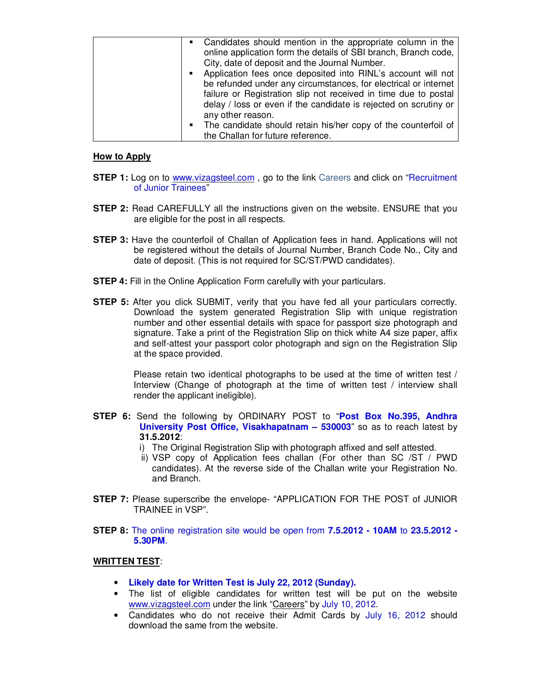| • Candidates should mention in the appropriate column in the<br>online application form the details of SBI branch, Branch code, |
|---------------------------------------------------------------------------------------------------------------------------------|
| City, date of deposit and the Journal Number.                                                                                   |
| Application fees once deposited into RINL's account will not<br>п                                                               |
| be refunded under any circumstances, for electrical or internet                                                                 |
| failure or Registration slip not received in time due to postal                                                                 |
| delay / loss or even if the candidate is rejected on scrutiny or                                                                |
| any other reason.                                                                                                               |
| • The candidate should retain his/her copy of the counterfoil of                                                                |
| the Challan for future reference.                                                                                               |

## **How to Apply**

- **STEP 1:** Log on to www.vizagsteel.com, go to the link Careers and click on "Recruitment" of Junior Trainees"
- **STEP 2:** Read CAREFULLY all the instructions given on the website. ENSURE that you are eligible for the post in all respects.
- **STEP 3:** Have the counterfoil of Challan of Application fees in hand. Applications will not be registered without the details of Journal Number, Branch Code No., City and date of deposit. (This is not required for SC/ST/PWD candidates).
- **STEP 4:** Fill in the Online Application Form carefully with your particulars.
- **STEP 5:** After you click SUBMIT, verify that you have fed all your particulars correctly. Download the system generated Registration Slip with unique registration number and other essential details with space for passport size photograph and signature. Take a print of the Registration Slip on thick white A4 size paper, affix and self-attest your passport color photograph and sign on the Registration Slip at the space provided.

Please retain two identical photographs to be used at the time of written test / Interview (Change of photograph at the time of written test / interview shall render the applicant ineligible).

- **STEP 6:** Send the following by ORDINARY POST to "**Post Box No.395, Andhra University Post Office, Visakhapatnam – 530003**" so as to reach latest by **31.5.2012**:
	- i) The Original Registration Slip with photograph affixed and self attested.
	- ii) VSP copy of Application fees challan (For other than SC /ST / PWD candidates). At the reverse side of the Challan write your Registration No. and Branch.
- **STEP 7:** Please superscribe the envelope- "APPLICATION FOR THE POST of JUNIOR TRAINEE in VSP".
- **STEP 8:** The online registration site would be open from **7.5.2012 - 10AM** to **23.5.2012 - 5.30PM**.

## **WRITTEN TEST**:

- **Likely date for Written Test is July 22, 2012 (Sunday).**
- The list of eligible candidates for written test will be put on the website www.vizagsteel.com under the link "Careers" by July 10, 2012.
- Candidates who do not receive their Admit Cards by July 16, 2012 should download the same from the website.